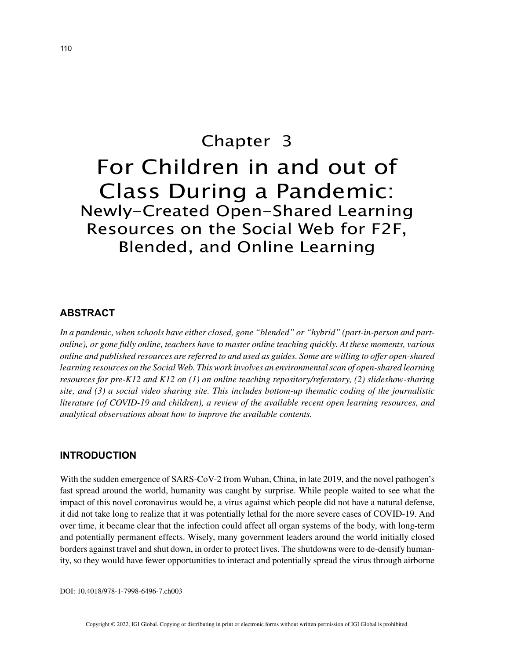# Chapter 3 For Children in and out of Class During a Pandemic: Newly-Created Open-Shared Learning Resources on the Social Web for F2F, Blended, and Online Learning

## **ABSTRACT**

*In a pandemic, when schools have either closed, gone "blended" or "hybrid" (part-in-person and partonline), or gone fully online, teachers have to master online teaching quickly. At these moments, various online and published resources are referred to and used as guides. Some are willing to offer open-shared learning resources on the Social Web. This work involves an environmental scan of open-shared learning resources for pre-K12 and K12 on (1) an online teaching repository/referatory, (2) slideshow-sharing site, and (3) a social video sharing site. This includes bottom-up thematic coding of the journalistic literature (of COVID-19 and children), a review of the available recent open learning resources, and analytical observations about how to improve the available contents.*

### **INTRODUCTION**

With the sudden emergence of SARS-CoV-2 from Wuhan, China, in late 2019, and the novel pathogen's fast spread around the world, humanity was caught by surprise. While people waited to see what the impact of this novel coronavirus would be, a virus against which people did not have a natural defense, it did not take long to realize that it was potentially lethal for the more severe cases of COVID-19. And over time, it became clear that the infection could affect all organ systems of the body, with long-term and potentially permanent effects. Wisely, many government leaders around the world initially closed borders against travel and shut down, in order to protect lives. The shutdowns were to de-densify humanity, so they would have fewer opportunities to interact and potentially spread the virus through airborne

DOI: 10.4018/978-1-7998-6496-7.ch003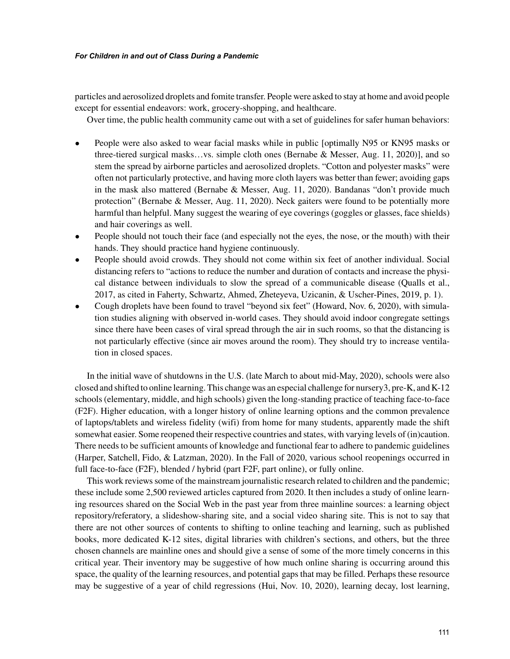#### *For Children in and out of Class During a Pandemic*

particles and aerosolized droplets and fomite transfer. People were asked to stay at home and avoid people except for essential endeavors: work, grocery-shopping, and healthcare.

Over time, the public health community came out with a set of guidelines for safer human behaviors:

- People were also asked to wear facial masks while in public [optimally N95 or KN95 masks or three-tiered surgical masks…vs. simple cloth ones (Bernabe & Messer, Aug. 11, 2020)], and so stem the spread by airborne particles and aerosolized droplets. "Cotton and polyester masks" were often not particularly protective, and having more cloth layers was better than fewer; avoiding gaps in the mask also mattered (Bernabe & Messer, Aug. 11, 2020). Bandanas "don't provide much protection" (Bernabe & Messer, Aug. 11, 2020). Neck gaiters were found to be potentially more harmful than helpful. Many suggest the wearing of eye coverings (goggles or glasses, face shields) and hair coverings as well.
- People should not touch their face (and especially not the eyes, the nose, or the mouth) with their hands. They should practice hand hygiene continuously.
- People should avoid crowds. They should not come within six feet of another individual. Social distancing refers to "actions to reduce the number and duration of contacts and increase the physical distance between individuals to slow the spread of a communicable disease (Qualls et al., 2017, as cited in Faherty, Schwartz, Ahmed, Zheteyeva, Uzicanin, & Uscher-Pines, 2019, p. 1).
- Cough droplets have been found to travel "beyond six feet" (Howard, Nov. 6, 2020), with simulation studies aligning with observed in-world cases. They should avoid indoor congregate settings since there have been cases of viral spread through the air in such rooms, so that the distancing is not particularly effective (since air moves around the room). They should try to increase ventilation in closed spaces.

In the initial wave of shutdowns in the U.S. (late March to about mid-May, 2020), schools were also closed and shifted to online learning. This change was an especial challenge for nursery3, pre-K, and K-12 schools (elementary, middle, and high schools) given the long-standing practice of teaching face-to-face (F2F). Higher education, with a longer history of online learning options and the common prevalence of laptops/tablets and wireless fidelity (wifi) from home for many students, apparently made the shift somewhat easier. Some reopened their respective countries and states, with varying levels of (in)caution. There needs to be sufficient amounts of knowledge and functional fear to adhere to pandemic guidelines (Harper, Satchell, Fido, & Latzman, 2020). In the Fall of 2020, various school reopenings occurred in full face-to-face (F2F), blended / hybrid (part F2F, part online), or fully online.

This work reviews some of the mainstream journalistic research related to children and the pandemic; these include some 2,500 reviewed articles captured from 2020. It then includes a study of online learning resources shared on the Social Web in the past year from three mainline sources: a learning object repository/referatory, a slideshow-sharing site, and a social video sharing site. This is not to say that there are not other sources of contents to shifting to online teaching and learning, such as published books, more dedicated K-12 sites, digital libraries with children's sections, and others, but the three chosen channels are mainline ones and should give a sense of some of the more timely concerns in this critical year. Their inventory may be suggestive of how much online sharing is occurring around this space, the quality of the learning resources, and potential gaps that may be filled. Perhaps these resource may be suggestive of a year of child regressions (Hui, Nov. 10, 2020), learning decay, lost learning,